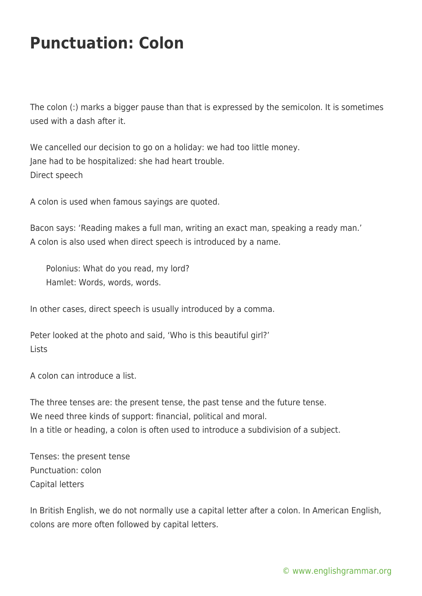## **Punctuation: Colon**

The colon (:) marks a bigger pause than that is expressed by the semicolon. It is sometimes used with a dash after it.

We cancelled our decision to go on a holiday: we had too little money. Jane had to be hospitalized: she had heart trouble. Direct speech

A colon is used when famous sayings are quoted.

Bacon says: 'Reading makes a full man, writing an exact man, speaking a ready man.' A colon is also used when direct speech is introduced by a name.

Polonius: What do you read, my lord? Hamlet: Words, words, words.

In other cases, direct speech is usually introduced by a comma.

Peter looked at the photo and said, 'Who is this beautiful girl?' Lists

A colon can introduce a list.

The three tenses are: the present tense, the past tense and the future tense. We need three kinds of support: financial, political and moral. In a title or heading, a colon is often used to introduce a subdivision of a subject.

Tenses: the present tense Punctuation: colon Capital letters

In British English, we do not normally use a capital letter after a colon. In American English, colons are more often followed by capital letters.